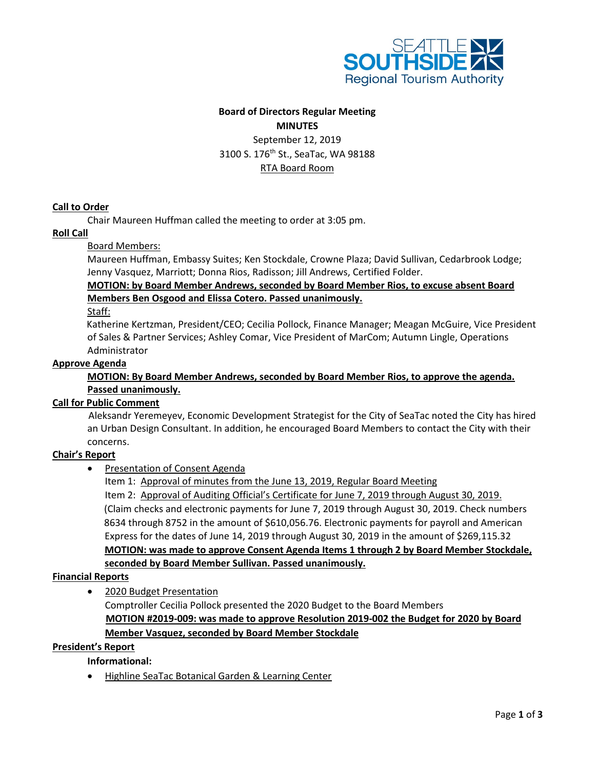

# **Board of Directors Regular Meeting**

**MINUTES** September 12, 2019 3100 S. 176<sup>th</sup> St., SeaTac, WA 98188 RTA Board Room

#### **Call to Order**

Chair Maureen Huffman called the meeting to order at 3:05 pm.

#### **Roll Call**

#### Board Members:

Maureen Huffman, Embassy Suites; Ken Stockdale, Crowne Plaza; David Sullivan, Cedarbrook Lodge; Jenny Vasquez, Marriott; Donna Rios, Radisson; Jill Andrews, Certified Folder.

**MOTION: by Board Member Andrews, seconded by Board Member Rios, to excuse absent Board Members Ben Osgood and Elissa Cotero. Passed unanimously.**

Staff:

Katherine Kertzman, President/CEO; Cecilia Pollock, Finance Manager; Meagan McGuire, Vice President of Sales & Partner Services; Ashley Comar, Vice President of MarCom; Autumn Lingle, Operations Administrator

#### **Approve Agenda**

**MOTION: By Board Member Andrews, seconded by Board Member Rios, to approve the agenda. Passed unanimously.**

## **Call for Public Comment**

 Aleksandr Yeremeyev, Economic Development Strategist for the City of SeaTac noted the City has hired an Urban Design Consultant. In addition, he encouraged Board Members to contact the City with their concerns.

## **Chair's Report**

• Presentation of Consent Agenda

Item 1: Approval of minutes from the June 13, 2019, Regular Board Meeting

Item 2: Approval of Auditing Official's Certificate for June 7, 2019 through August 30, 2019. (Claim checks and electronic payments for June 7, 2019 through August 30, 2019. Check numbers 8634 through 8752 in the amount of \$610,056.76. Electronic payments for payroll and American Express for the dates of June 14, 2019 through August 30, 2019 in the amount of \$269,115.32 **MOTION: was made to approve Consent Agenda Items 1 through 2 by Board Member Stockdale, seconded by Board Member Sullivan. Passed unanimously.**

## **Financial Reports**

• 2020 Budget Presentation

Comptroller Cecilia Pollock presented the 2020 Budget to the Board Members  **MOTION #2019-009: was made to approve Resolution 2019-002 the Budget for 2020 by Board Member Vasquez, seconded by Board Member Stockdale**

#### **President's Report**

## **Informational:**

• Highline SeaTac Botanical Garden & Learning Center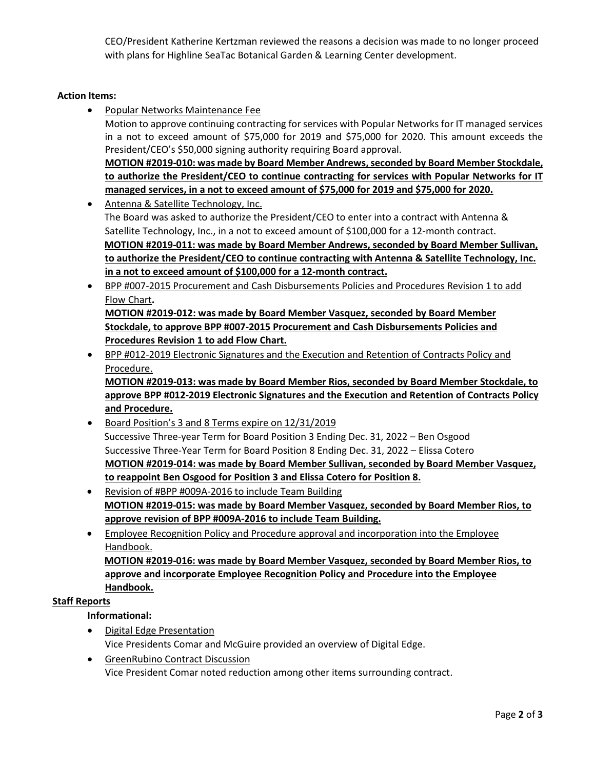CEO/President Katherine Kertzman reviewed the reasons a decision was made to no longer proceed with plans for Highline SeaTac Botanical Garden & Learning Center development.

## **Action Items:**

- Popular Networks Maintenance Fee Motion to approve continuing contracting for services with Popular Networks for IT managed services in a not to exceed amount of \$75,000 for 2019 and \$75,000 for 2020. This amount exceeds the President/CEO's \$50,000 signing authority requiring Board approval. **MOTION #2019-010: was made by Board Member Andrews, seconded by Board Member Stockdale, to authorize the President/CEO to continue contracting for services with Popular Networks for IT managed services, in a not to exceed amount of \$75,000 for 2019 and \$75,000 for 2020.**
- Antenna & Satellite Technology, Inc. The Board was asked to authorize the President/CEO to enter into a contract with Antenna & Satellite Technology, Inc., in a not to exceed amount of \$100,000 for a 12-month contract. **MOTION #2019-011: was made by Board Member Andrews, seconded by Board Member Sullivan, to authorize the President/CEO to continue contracting with Antenna & Satellite Technology, Inc. in a not to exceed amount of \$100,000 for a 12-month contract.**
- BPP #007-2015 Procurement and Cash Disbursements Policies and Procedures Revision 1 to add Flow Chart**. MOTION #2019-012: was made by Board Member Vasquez, seconded by Board Member Stockdale, to approve BPP #007-2015 Procurement and Cash Disbursements Policies and Procedures Revision 1 to add Flow Chart.**
- BPP #012-2019 Electronic Signatures and the Execution and Retention of Contracts Policy and Procedure.

**MOTION #2019-013: was made by Board Member Rios, seconded by Board Member Stockdale, to approve BPP #012-2019 Electronic Signatures and the Execution and Retention of Contracts Policy and Procedure.**

- Board Position's 3 and 8 Terms expire on 12/31/2019 Successive Three-year Term for Board Position 3 Ending Dec. 31, 2022 – Ben Osgood Successive Three-Year Term for Board Position 8 Ending Dec. 31, 2022 – Elissa Cotero **MOTION #2019-014: was made by Board Member Sullivan, seconded by Board Member Vasquez, to reappoint Ben Osgood for Position 3 and Elissa Cotero for Position 8.**
- Revision of #BPP #009A-2016 to include Team Building **MOTION #2019-015: was made by Board Member Vasquez, seconded by Board Member Rios, to approve revision of BPP #009A-2016 to include Team Building.**
- Employee Recognition Policy and Procedure approval and incorporation into the Employee Handbook.

**MOTION #2019-016: was made by Board Member Vasquez, seconded by Board Member Rios, to approve and incorporate Employee Recognition Policy and Procedure into the Employee Handbook.**

## **Staff Reports**

# **Informational:**

- Digital Edge Presentation Vice Presidents Comar and McGuire provided an overview of Digital Edge.
- GreenRubino Contract Discussion Vice President Comar noted reduction among other items surrounding contract.